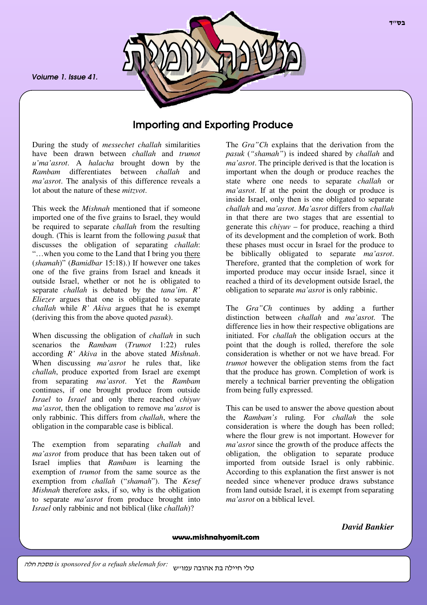*Volume 1. Issue 41.*



# Importing and Exporting Produce

During the study of *messechet challah* similarities have been drawn between *challah* and *trumot u'ma'asrot*. A *halacha* brought down by the *Rambam* differentiates between *challah* and *ma'asrot*. The analysis of this difference reveals a lot about the nature of these *mitzvot*.

This week the *Mishnah* mentioned that if someone imported one of the five grains to Israel, they would be required to separate *challah* from the resulting dough. (This is learnt from the following *pasuk* that discusses the obligation of separating *challah*: "…when you come to the Land that I bring you there (*shamah*)" (*Bamidbar* 15:18).) If however one takes one of the five grains from Israel and kneads it outside Israel, whether or not he is obligated to separate *challah* is debated by the *tana'im*. *R' Eliezer* argues that one is obligated to separate *challah* while *R' Akiva* argues that he is exempt (deriving this from the above quoted *pasuk*).

When discussing the obligation of *challah* in such scenarios the *Rambam* (*Trumot* 1:22) rules according *R' Akiva* in the above stated *Mishnah*. When discussing *ma'asrot* he rules that, like *challah*, produce exported from Israel are exempt from separating *ma'asrot*. Yet the *Rambam* continues, if one brought produce from outside *Israel* to *Israel* and only there reached *chiyuv ma'asrot*, then the obligation to remove *ma'asrot* is only rabbinic. This differs from *challah*, where the obligation in the comparable case is biblical.

The exemption from separating *challah* and *ma'asrot* from produce that has been taken out of Israel implies that *Rambam* is learning the exemption of *trumot* from the same source as the exemption from *challah* ("*shamah*"). The *Kesef Mishnah* therefore asks, if so, why is the obligation to separate *ma'asrot* from produce brought into *Israel* only rabbinic and not biblical (like *challah*)?

The *Gra"Ch* explains that the derivation from the *pasuk* (*"shamah"*) is indeed shared by *challah* and *ma'asrot*. The principle derived is that the location is important when the dough or produce reaches the state where one needs to separate *challah* or *ma'asrot*. If at the point the dough or produce is inside Israel, only then is one obligated to separate *challah* and *ma'asrot*. *Ma'asrot* differs from *challah* in that there are two stages that are essential to generate this *chiyuv* – for produce, reaching a third of its development and the completion of work. Both these phases must occur in Israel for the produce to be biblically obligated to separate *ma'asrot*. Therefore, granted that the completion of work for imported produce may occur inside Israel, since it reached a third of its development outside Israel, the obligation to separate *ma'asrot* is only rabbinic.

The *Gra"Ch* continues by adding a further distinction between *challah* and *ma'asrot.* The difference lies in how their respective obligations are initiated. For *challah* the obligation occurs at the point that the dough is rolled, therefore the sole consideration is whether or not we have bread. For *trumot* however the obligation stems from the fact that the produce has grown. Completion of work is merely a technical barrier preventing the obligation from being fully expressed.

This can be used to answer the above question about the *Rambam's* ruling*.* For *challah* the sole consideration is where the dough has been rolled; where the flour grew is not important. However for *ma'asrot* since the growth of the produce affects the obligation, the obligation to separate produce imported from outside Israel is only rabbinic. According to this explanation the first answer is not needed since whenever produce draws substance from land outside Israel, it is exempt from separating *ma'asrot* on a biblical level.

#### www.mishnahyomit.com

#### *David Bankier*